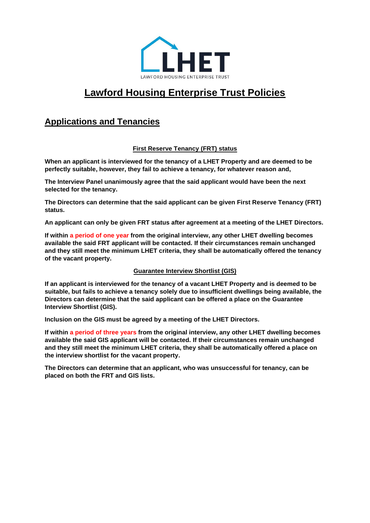

# **Lawford Housing Enterprise Trust Policies**

# **Applications and Tenancies**

# **First Reserve Tenancy (FRT) status**

**When an applicant is interviewed for the tenancy of a LHET Property and are deemed to be perfectly suitable, however, they fail to achieve a tenancy, for whatever reason and,**

**The Interview Panel unanimously agree that the said applicant would have been the next selected for the tenancy.**

**The Directors can determine that the said applicant can be given First Reserve Tenancy (FRT) status.** 

**An applicant can only be given FRT status after agreement at a meeting of the LHET Directors.**

**If within a period of one year from the original interview, any other LHET dwelling becomes available the said FRT applicant will be contacted. If their circumstances remain unchanged and they still meet the minimum LHET criteria, they shall be automatically offered the tenancy of the vacant property.**

# **Guarantee Interview Shortlist (GIS)**

**If an applicant is interviewed for the tenancy of a vacant LHET Property and is deemed to be suitable, but fails to achieve a tenancy solely due to insufficient dwellings being available, the Directors can determine that the said applicant can be offered a place on the Guarantee Interview Shortlist (GIS).**

**Inclusion on the GIS must be agreed by a meeting of the LHET Directors.**

**If within a period of three years from the original interview, any other LHET dwelling becomes available the said GIS applicant will be contacted. If their circumstances remain unchanged and they still meet the minimum LHET criteria, they shall be automatically offered a place on the interview shortlist for the vacant property.**

**The Directors can determine that an applicant, who was unsuccessful for tenancy, can be placed on both the FRT and GIS lists.**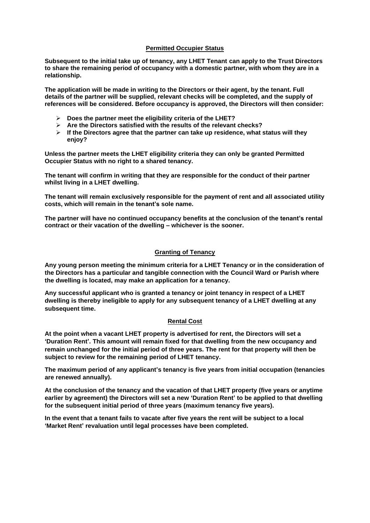#### **Permitted Occupier Status**

**Subsequent to the initial take up of tenancy, any LHET Tenant can apply to the Trust Directors to share the remaining period of occupancy with a domestic partner, with whom they are in a relationship.**

**The application will be made in writing to the Directors or their agent, by the tenant. Full details of the partner will be supplied, relevant checks will be completed, and the supply of references will be considered. Before occupancy is approved, the Directors will then consider:**

- ➢ **Does the partner meet the eligibility criteria of the LHET?**
- ➢ **Are the Directors satisfied with the results of the relevant checks?**
- ➢ **If the Directors agree that the partner can take up residence, what status will they enjoy?**

**Unless the partner meets the LHET eligibility criteria they can only be granted Permitted Occupier Status with no right to a shared tenancy.**

**The tenant will confirm in writing that they are responsible for the conduct of their partner whilst living in a LHET dwelling.**

**The tenant will remain exclusively responsible for the payment of rent and all associated utility costs, which will remain in the tenant's sole name.**

**The partner will have no continued occupancy benefits at the conclusion of the tenant's rental contract or their vacation of the dwelling – whichever is the sooner.**

### **Granting of Tenancy**

**Any young person meeting the minimum criteria for a LHET Tenancy or in the consideration of the Directors has a particular and tangible connection with the Council Ward or Parish where the dwelling is located, may make an application for a tenancy.**

**Any successful applicant who is granted a tenancy or joint tenancy in respect of a LHET dwelling is thereby ineligible to apply for any subsequent tenancy of a LHET dwelling at any subsequent time.**

### **Rental Cost**

**At the point when a vacant LHET property is advertised for rent, the Directors will set a 'Duration Rent'. This amount will remain fixed for that dwelling from the new occupancy and remain unchanged for the initial period of three years. The rent for that property will then be subject to review for the remaining period of LHET tenancy.** 

**The maximum period of any applicant's tenancy is five years from initial occupation (tenancies are renewed annually).**

**At the conclusion of the tenancy and the vacation of that LHET property (five years or anytime earlier by agreement) the Directors will set a new 'Duration Rent' to be applied to that dwelling for the subsequent initial period of three years (maximum tenancy five years).**

**In the event that a tenant fails to vacate after five years the rent will be subject to a local 'Market Rent' revaluation until legal processes have been completed.**